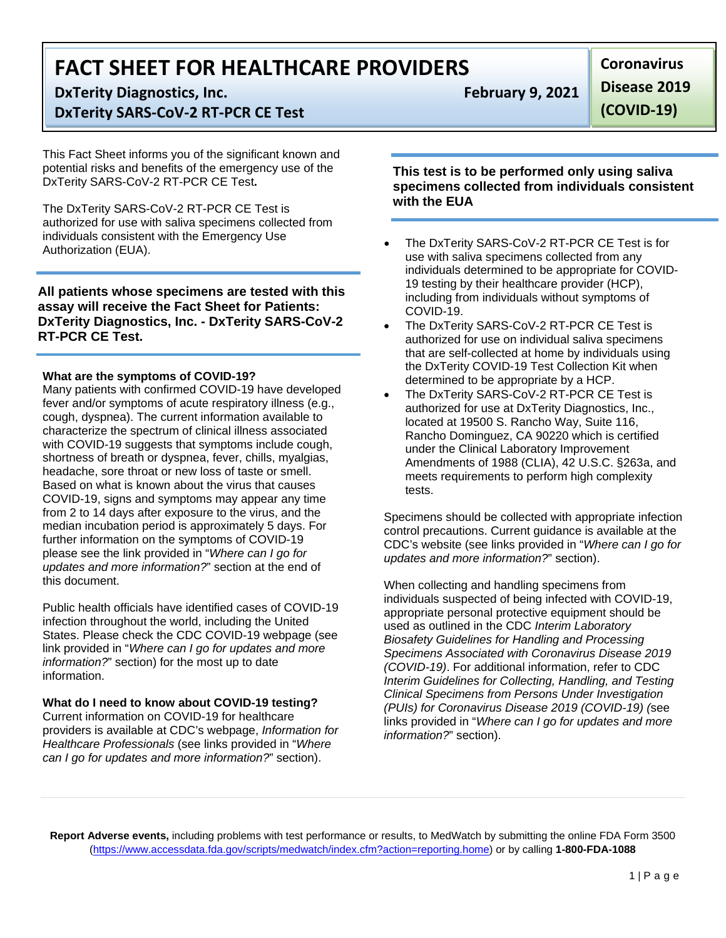# **FACT SHEET FOR HEALTHCARE PROVIDERS**

**DxTerity Diagnostics, Inc. February 9, 2021**

# **DxTerity SARS-CoV-2 RT-PCR CE Test**

This Fact Sheet informs you of the significant known and potential risks and benefits of the emergency use of the DxTerity SARS-CoV-2 RT-PCR CE Test**.**

The DxTerity SARS-CoV-2 RT-PCR CE Test is authorized for use with saliva specimens collected from individuals consistent with the Emergency Use Authorization (EUA).

**All patients whose specimens are tested with this assay will receive the Fact Sheet for Patients: DxTerity Diagnostics, Inc. - DxTerity SARS-CoV-2 RT-PCR CE Test.**

### **What are the symptoms of COVID-19?**

Many patients with confirmed COVID-19 have developed fever and/or symptoms of acute respiratory illness (e.g., cough, dyspnea). The current information available to characterize the spectrum of clinical illness associated with COVID-19 suggests that symptoms include cough, shortness of breath or dyspnea, fever, chills, myalgias, headache, sore throat or new loss of taste or smell. Based on what is known about the virus that causes COVID-19, signs and symptoms may appear any time from 2 to 14 days after exposure to the virus, and the median incubation period is approximately 5 days. For further information on the symptoms of COVID-19 please see the link provided in "*Where can I go for updates and more information?*" section at the end of this document.

Public health officials have identified cases of COVID-19 infection throughout the world, including the United States. Please check the CDC COVID-19 webpage (see link provided in "*Where can I go for updates and more information?*" section) for the most up to date information.

# **What do I need to know about COVID-19 testing?**

Current information on COVID-19 for healthcare providers is available at CDC's webpage, *Information for Healthcare Professionals* (see links provided in "*Where can I go for updates and more information?*" section).

**Disease 2019** 

**Coronavirus** 

**(COVID-19)**

**This test is to be performed only using saliva specimens collected from individuals consistent with the EUA**

- The DxTerity SARS-CoV-2 RT-PCR CE Test is for use with saliva specimens collected from any individuals determined to be appropriate for COVID-19 testing by their healthcare provider (HCP), including from individuals without symptoms of COVID-19.
- The DxTerity SARS-CoV-2 RT-PCR CE Test is authorized for use on individual saliva specimens that are self-collected at home by individuals using the DxTerity COVID-19 Test Collection Kit when determined to be appropriate by a HCP.
- The DxTerity SARS-CoV-2 RT-PCR CE Test is authorized for use at DxTerity Diagnostics, Inc., located at 19500 S. Rancho Way, Suite 116, Rancho Dominguez, CA 90220 which is certified under the Clinical Laboratory Improvement Amendments of 1988 (CLIA), 42 U.S.C. §263a, and meets requirements to perform high complexity tests.

Specimens should be collected with appropriate infection control precautions. Current guidance is available at the CDC's website (see links provided in "*Where can I go for updates and more information?*" section).

When collecting and handling specimens from individuals suspected of being infected with COVID-19, appropriate personal protective equipment should be used as outlined in the CDC *Interim Laboratory Biosafety Guidelines for Handling and Processing Specimens Associated with Coronavirus Disease 2019 (COVID-19)*. For additional information, refer to CDC *Interim Guidelines for Collecting, Handling, and Testing Clinical Specimens from Persons Under Investigation (PUIs) for Coronavirus Disease 2019 (COVID-19) (*see links provided in "*Where can I go for updates and more information?*" section).

**Report Adverse events,** including problems with test performance or results, to MedWatch by submitting the online FDA Form 3500 [\(https://www.accessdata.fda.gov/scripts/medwatch/index.cfm?action=reporting.home\)](https://www.accessdata.fda.gov/scripts/medwatch/index.cfm?action=reporting.home) or by calling **1-800-FDA-1088**

1 | Page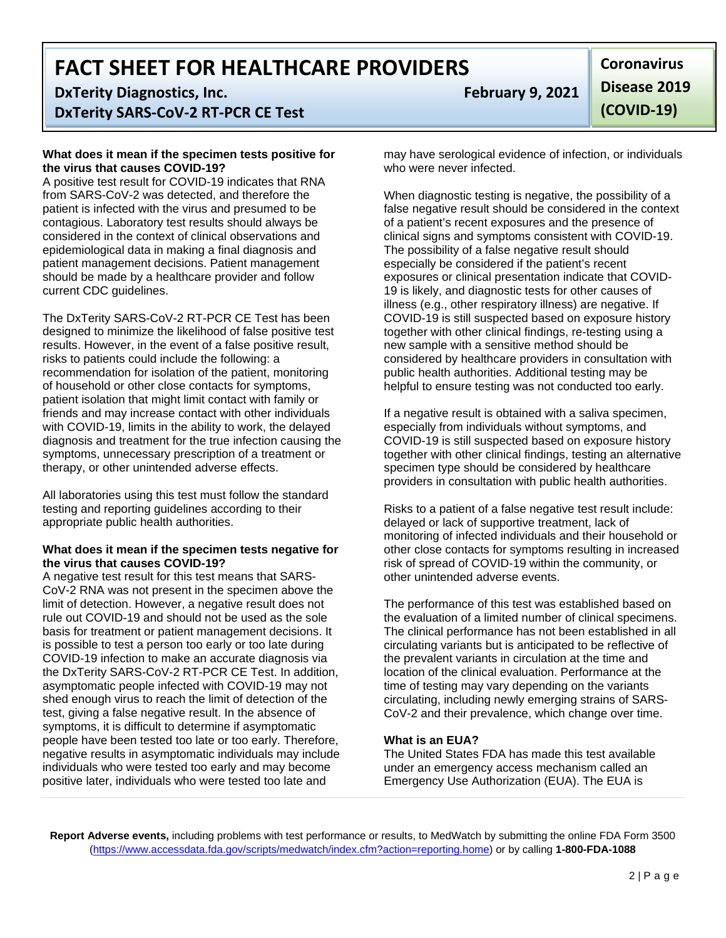**FACT SHEET FOR HEALTHCARE PROVIDERS**

**DxTerity Diagnostics, Inc. February 9, 2021**

**DxTerity SARS-CoV-2 RT-PCR CE Test**

### **What does it mean if the specimen tests positive for the virus that causes COVID-19?**

A positive test result for COVID-19 indicates that RNA from SARS-CoV-2 was detected, and therefore the patient is infected with the virus and presumed to be contagious. Laboratory test results should always be considered in the context of clinical observations and epidemiological data in making a final diagnosis and patient management decisions. Patient management should be made by a healthcare provider and follow current CDC guidelines.

The DxTerity SARS-CoV-2 RT-PCR CE Test has been designed to minimize the likelihood of false positive test results. However, in the event of a false positive result, risks to patients could include the following: a recommendation for isolation of the patient, monitoring of household or other close contacts for symptoms, patient isolation that might limit contact with family or friends and may increase contact with other individuals with COVID-19, limits in the ability to work, the delayed diagnosis and treatment for the true infection causing the symptoms, unnecessary prescription of a treatment or therapy, or other unintended adverse effects.

All laboratories using this test must follow the standard testing and reporting guidelines according to their appropriate public health authorities.

# **What does it mean if the specimen tests negative for the virus that causes COVID-19?**

A negative test result for this test means that SARS-CoV-2 RNA was not present in the specimen above the limit of detection. However, a negative result does not rule out COVID-19 and should not be used as the sole basis for treatment or patient management decisions. It is possible to test a person too early or too late during COVID-19 infection to make an accurate diagnosis via the DxTerity SARS-CoV-2 RT-PCR CE Test. In addition, asymptomatic people infected with COVID-19 may not shed enough virus to reach the limit of detection of the test, giving a false negative result. In the absence of symptoms, it is difficult to determine if asymptomatic people have been tested too late or too early. Therefore, negative results in asymptomatic individuals may include individuals who were tested too early and may become positive later, individuals who were tested too late and

**Coronavirus Disease 2019 (COVID-19)**

may have serological evidence of infection, or individuals who were never infected.

When diagnostic testing is negative, the possibility of a false negative result should be considered in the context of a patient's recent exposures and the presence of clinical signs and symptoms consistent with COVID-19. The possibility of a false negative result should especially be considered if the patient's recent exposures or clinical presentation indicate that COVID-19 is likely, and diagnostic tests for other causes of illness (e.g., other respiratory illness) are negative. If COVID-19 is still suspected based on exposure history together with other clinical findings, re-testing using a new sample with a sensitive method should be considered by healthcare providers in consultation with public health authorities. Additional testing may be helpful to ensure testing was not conducted too early.

If a negative result is obtained with a saliva specimen, especially from individuals without symptoms, and COVID-19 is still suspected based on exposure history together with other clinical findings, testing an alternative specimen type should be considered by healthcare providers in consultation with public health authorities.

Risks to a patient of a false negative test result include: delayed or lack of supportive treatment, lack of monitoring of infected individuals and their household or other close contacts for symptoms resulting in increased risk of spread of COVID-19 within the community, or other unintended adverse events.

The performance of this test was established based on the evaluation of a limited number of clinical specimens. The clinical performance has not been established in all circulating variants but is anticipated to be reflective of the prevalent variants in circulation at the time and location of the clinical evaluation. Performance at the time of testing may vary depending on the variants circulating, including newly emerging strains of SARS-CoV-2 and their prevalence, which change over time.

# **What is an EUA?**

The United States FDA has made this test available under an emergency access mechanism called an Emergency Use Authorization (EUA). The EUA is

**Report Adverse events,** including problems with test performance or results, to MedWatch by submitting the online FDA Form 3500 [\(https://www.accessdata.fda.gov/scripts/medwatch/index.cfm?action=reporting.home\)](https://www.accessdata.fda.gov/scripts/medwatch/index.cfm?action=reporting.home) or by calling **1-800-FDA-1088**